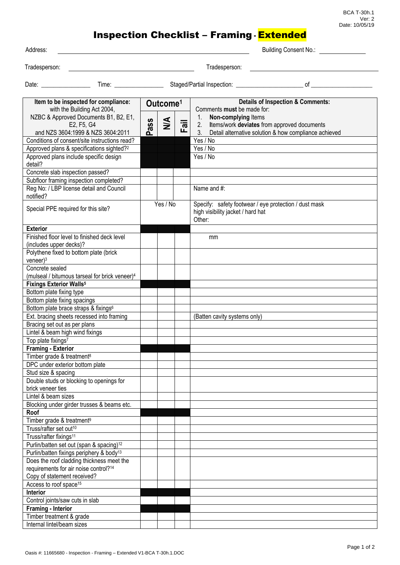BCA T-30h.1 Ver: 2 Date: 10/05/19

## Inspection Checklist – Framing **-** Extended

| Item to be inspected for compliance:<br>$\mathbf{H}$ , $\mathbf{H}$ , $\mathbf{H}$ , $\mathbf{H}$ , $\mathbf{H}$ , $\mathbf{H}$ , $\mathbf{H}$ , $\mathbf{H}$ , $\mathbf{H}$ |       | Outcome <sup>1</sup> | <b>Details of Inspection &amp; Comments:</b><br>As a construction of the country from the |                              |  |
|------------------------------------------------------------------------------------------------------------------------------------------------------------------------------|-------|----------------------|-------------------------------------------------------------------------------------------|------------------------------|--|
| Date:                                                                                                                                                                        | Time: |                      | Staged/Partial Inspection:                                                                | nt                           |  |
| Tradesperson:                                                                                                                                                                |       |                      | Tradesperson:                                                                             |                              |  |
| Address:                                                                                                                                                                     |       |                      |                                                                                           | <b>Building Consent No.:</b> |  |

| Item to be inspected for compliance:                                        |      | Outcome <sup>1</sup> |      | <b>Details of Inspection &amp; Comments:</b>                                                                                 |  |
|-----------------------------------------------------------------------------|------|----------------------|------|------------------------------------------------------------------------------------------------------------------------------|--|
| with the Building Act 2004,                                                 |      |                      |      | Comments must be made for:                                                                                                   |  |
| NZBC & Approved Documents B1, B2, E1,                                       |      | $\sum_{i=1}^{n}$     |      | Non-complying Items<br>1.                                                                                                    |  |
| E2, F5, G4<br>and NZS 3604:1999 & NZS 3604:2011                             | Pass |                      | Fail | Items/work deviates from approved documents<br>2.<br>3 <sub>1</sub><br>Detail alternative solution & how compliance achieved |  |
| Conditions of consent/site instructions read?                               |      |                      |      | Yes / No                                                                                                                     |  |
| Approved plans & specifications sighted? <sup>2</sup>                       |      |                      |      | Yes / No                                                                                                                     |  |
| Approved plans include specific design                                      |      |                      |      | Yes / No                                                                                                                     |  |
| detail?                                                                     |      |                      |      |                                                                                                                              |  |
| Concrete slab inspection passed?                                            |      |                      |      |                                                                                                                              |  |
| Subfloor framing inspection completed?                                      |      |                      |      |                                                                                                                              |  |
| Reg No: / LBP license detail and Council                                    |      |                      |      | Name and #:                                                                                                                  |  |
| notified?                                                                   |      |                      |      |                                                                                                                              |  |
| Special PPE required for this site?                                         |      | Yes / No             |      | Specify: safety footwear / eye protection / dust mask<br>high visibility jacket / hard hat<br>Other:                         |  |
| <b>Exterior</b>                                                             |      |                      |      |                                                                                                                              |  |
| Finished floor level to finished deck level                                 |      |                      |      | mm                                                                                                                           |  |
| (includes upper decks)?                                                     |      |                      |      |                                                                                                                              |  |
| Polythene fixed to bottom plate (brick                                      |      |                      |      |                                                                                                                              |  |
| $veneer$ <sup>3</sup>                                                       |      |                      |      |                                                                                                                              |  |
| Concrete sealed                                                             |      |                      |      |                                                                                                                              |  |
| (mulseal / bitumous tarseal for brick veneer) <sup>4</sup>                  |      |                      |      |                                                                                                                              |  |
| <b>Fixings Exterior Walls<sup>5</sup></b>                                   |      |                      |      |                                                                                                                              |  |
| Bottom plate fixing type                                                    |      |                      |      |                                                                                                                              |  |
| Bottom plate fixing spacings                                                |      |                      |      |                                                                                                                              |  |
| Bottom plate brace straps & fixings <sup>6</sup>                            |      |                      |      |                                                                                                                              |  |
| Ext. bracing sheets recessed into framing                                   |      |                      |      | (Batten cavity systems only)                                                                                                 |  |
| Bracing set out as per plans                                                |      |                      |      |                                                                                                                              |  |
| Lintel & beam high wind fixings                                             |      |                      |      |                                                                                                                              |  |
| Top plate fixings7                                                          |      |                      |      |                                                                                                                              |  |
| <b>Framing - Exterior</b>                                                   |      |                      |      |                                                                                                                              |  |
| Timber grade & treatment <sup>8</sup>                                       |      |                      |      |                                                                                                                              |  |
| DPC under exterior bottom plate                                             |      |                      |      |                                                                                                                              |  |
| Stud size & spacing                                                         |      |                      |      |                                                                                                                              |  |
| Double studs or blocking to openings for                                    |      |                      |      |                                                                                                                              |  |
| brick veneer ties                                                           |      |                      |      |                                                                                                                              |  |
| Lintel & beam sizes                                                         |      |                      |      |                                                                                                                              |  |
| Blocking under girder trusses & beams etc.                                  |      |                      |      |                                                                                                                              |  |
| Roof                                                                        |      |                      |      |                                                                                                                              |  |
| Timber grade & treatment <sup>9</sup><br>Truss/rafter set out <sup>10</sup> |      |                      |      |                                                                                                                              |  |
| Truss/rafter fixings <sup>11</sup>                                          |      |                      |      |                                                                                                                              |  |
| Purlin/batten set out (span & spacing) <sup>12</sup>                        |      |                      |      |                                                                                                                              |  |
| Purlin/batten fixings periphery & body <sup>13</sup>                        |      |                      |      |                                                                                                                              |  |
| Does the roof cladding thickness meet the                                   |      |                      |      |                                                                                                                              |  |
| requirements for air noise control? <sup>14</sup>                           |      |                      |      |                                                                                                                              |  |
| Copy of statement received?                                                 |      |                      |      |                                                                                                                              |  |
| Access to roof space <sup>15</sup>                                          |      |                      |      |                                                                                                                              |  |
| Interior                                                                    |      |                      |      |                                                                                                                              |  |
| Control joints/saw cuts in slab                                             |      |                      |      |                                                                                                                              |  |
| Framing - Interior                                                          |      |                      |      |                                                                                                                              |  |
| Timber treatment & grade                                                    |      |                      |      |                                                                                                                              |  |
| Internal lintel/beam sizes                                                  |      |                      |      |                                                                                                                              |  |
|                                                                             |      |                      |      |                                                                                                                              |  |